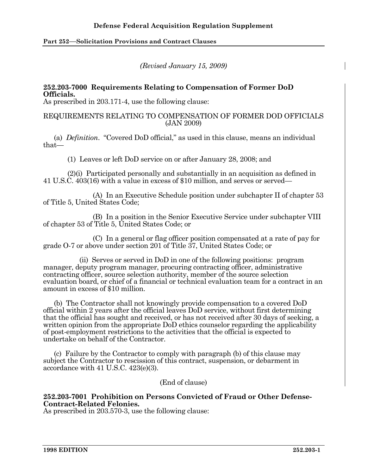# **Part 252**—**Solicitation Provisions and Contract Clauses**

*(Revised January 15, 2009)* 

## **252.203-7000 Requirements Relating to Compensation of Former DoD Officials.**

As prescribed in 203.171-4, use the following clause:

## REQUIREMENTS RELATING TO COMPENSATION OF FORMER DOD OFFICIALS (JAN 2009)

 (a) *Definition*. "Covered DoD official," as used in this clause, means an individual that—

(1) Leaves or left DoD service on or after January 28, 2008; and

 (2)(i) Participated personally and substantially in an acquisition as defined in 41 U.S.C. 403(16) with a value in excess of \$10 million, and serves or served—

 (A) In an Executive Schedule position under subchapter II of chapter 53 of Title 5, United States Code;

 (B) In a position in the Senior Executive Service under subchapter VIII of chapter 53 of Title 5, United States Code; or

 (C) In a general or flag officer position compensated at a rate of pay for grade O-7 or above under section 201 of Title 37, United States Code; or

 (ii) Serves or served in DoD in one of the following positions: program manager, deputy program manager, procuring contracting officer, administrative contracting officer, source selection authority, member of the source selection evaluation board, or chief of a financial or technical evaluation team for a contract in an amount in excess of \$10 million.

 (b) The Contractor shall not knowingly provide compensation to a covered DoD official within 2 years after the official leaves DoD service, without first determining that the official has sought and received, or has not received after 30 days of seeking, a written opinion from the appropriate DoD ethics counselor regarding the applicability of post-employment restrictions to the activities that the official is expected to undertake on behalf of the Contractor.

 (c) Failure by the Contractor to comply with paragraph (b) of this clause may subject the Contractor to rescission of this contract, suspension, or debarment in accordance with 41 U.S.C. 423(e)(3).

(End of clause)

# **252.203-7001 Prohibition on Persons Convicted of Fraud or Other Defense-Contract-Related Felonies.**

As prescribed in 203.570-3, use the following clause: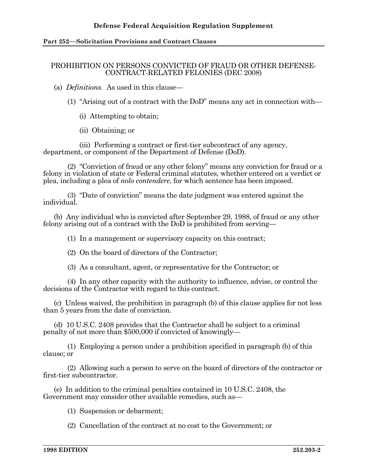## **Defense Federal Acquisition Regulation Supplement**

#### **Part 252**—**Solicitation Provisions and Contract Clauses**

#### PROHIBITION ON PERSONS CONVICTED OF FRAUD OR OTHER DEFENSE-CONTRACT-RELATED FELONIES (DEC 2008)

(a) *Definitions.* As used in this clause—

- (1) "Arising out of a contract with the DoD" means any act in connection with—
	- (i) Attempting to obtain;
	- (ii) Obtaining; or

 (iii) Performing a contract or first-tier subcontract of any agency, department, or component of the Department of Defense (DoD).

 (2) "Conviction of fraud or any other felony" means any conviction for fraud or a felony in violation of state or Federal criminal statutes, whether entered on a verdict or plea, including a plea of *nolo contendere*, for which sentence has been imposed.

 (3) "Date of conviction" means the date judgment was entered against the individual.

 (b) Any individual who is convicted after September 29, 1988, of fraud or any other felony arising out of a contract with the DoD is prohibited from serving—

(1) In a management or supervisory capacity on this contract;

- (2) On the board of directors of the Contractor;
- (3) As a consultant, agent, or representative for the Contractor; or

 (4) In any other capacity with the authority to influence, advise, or control the decisions of the Contractor with regard to this contract.

 (c) Unless waived, the prohibition in paragraph (b) of this clause applies for not less than 5 years from the date of conviction.

 (d) 10 U.S.C. 2408 provides that the Contractor shall be subject to a criminal penalty of not more than \$500,000 if convicted of knowingly—

 (1) Employing a person under a prohibition specified in paragraph (b) of this clause; or

 (2) Allowing such a person to serve on the board of directors of the contractor or first-tier subcontractor.

 (e) In addition to the criminal penalties contained in 10 U.S.C. 2408, the Government may consider other available remedies, such as—

(1) Suspension or debarment;

(2) Cancellation of the contract at no cost to the Government; or